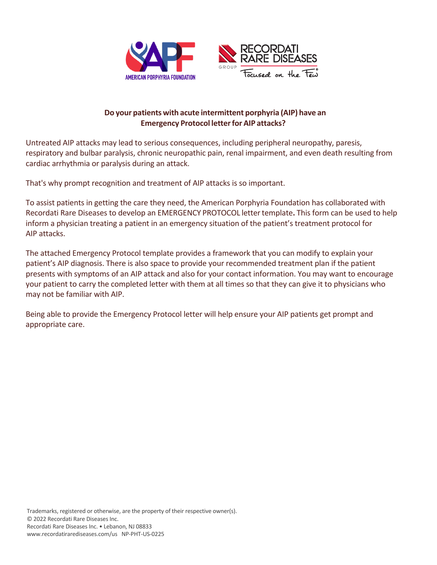

## **Do your patients with acute intermittent porphyria (AIP) have an Emergency Protocol letterfor AIP attacks?**

Untreated AIP attacks may lead to serious consequences, including peripheral neuropathy, paresis, respiratory and bulbar paralysis, chronic neuropathic pain, renal impairment, and even death resulting from cardiac arrhythmia or paralysis during an attack.

That's why prompt recognition and treatment of AIP attacks is so important.

To assist patients in getting the care they need, the American Porphyria Foundation has collaborated with Recordati Rare Diseases to develop an EMERGENCY PROTOCOL lettertemplate**.** This form can be used to help inform a physician treating a patient in an emergency situation of the patient's treatment protocol for AIP attacks.

The attached Emergency Protocol template provides a framework that you can modify to explain your patient's AIP diagnosis. There is also space to provide your recommended treatment plan if the patient presents with symptoms of an AIP attack and also for your contact information. You may want to encourage your patient to carry the completed letter with them at all times so that they can give it to physicians who may not be familiar with AIP.

Being able to provide the Emergency Protocol letter will help ensure your AIP patients get prompt and appropriate care.